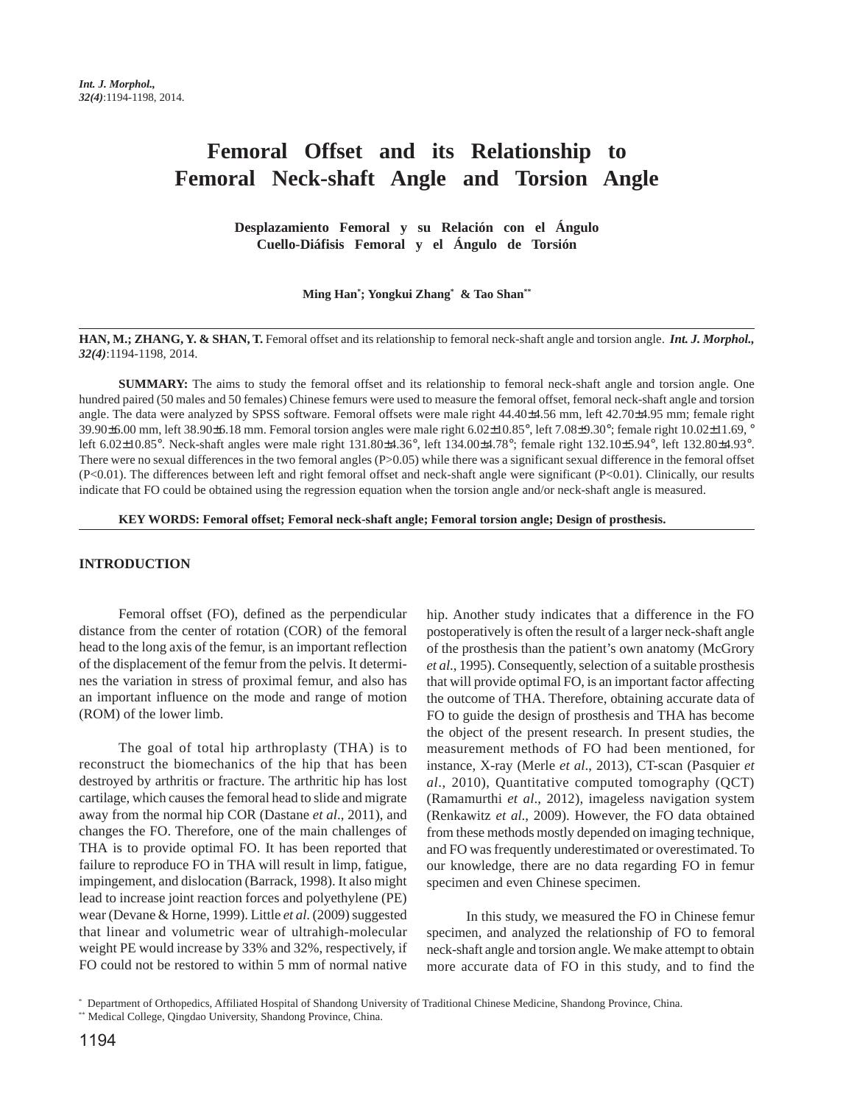# **Femoral Offset and its Relationship to Femoral Neck-shaft Angle and Torsion Angle**

**Desplazamiento Femoral y su Relación con el Ángulo Cuello-Diáfisis Femoral y el Ángulo de Torsión**

**Ming Han\* ; Yongkui Zhang\* & Tao Shan\*\***

HAN, M.; ZHANG, Y. & SHAN, T. Femoral offset and its relationship to femoral neck-shaft angle and torsion angle. *Int. J. Morphol.*, *32(4)*:1194-1198, 2014.

**SUMMARY:** The aims to study the femoral offset and its relationship to femoral neck-shaft angle and torsion angle. One hundred paired (50 males and 50 females) Chinese femurs were used to measure the femoral offset, femoral neck-shaft angle and torsion angle. The data were analyzed by SPSS software. Femoral offsets were male right 44.40±4.56 mm, left 42.70±4.95 mm; female right 39.90±6.00 mm, left 38.90±6.18 mm. Femoral torsion angles were male right 6.02±10.85°, left 7.08±9.30°; female right 10.02±11.69, ° left 6.02±10.85°. Neck-shaft angles were male right 131.80±4.36°, left 134.00±4.78°; female right 132.10±5.94°, left 132.80±4.93°. There were no sexual differences in the two femoral angles (P>0.05) while there was a significant sexual difference in the femoral offset (P<0.01). The differences between left and right femoral offset and neck-shaft angle were significant (P<0.01). Clinically, our results indicate that FO could be obtained using the regression equation when the torsion angle and/or neck-shaft angle is measured.

**KEY WORDS: Femoral offset; Femoral neck-shaft angle; Femoral torsion angle; Design of prosthesis.**

### **INTRODUCTION**

Femoral offset (FO), defined as the perpendicular distance from the center of rotation (COR) of the femoral head to the long axis of the femur, is an important reflection of the displacement of the femur from the pelvis. It determines the variation in stress of proximal femur, and also has an important influence on the mode and range of motion (ROM) of the lower limb.

The goal of total hip arthroplasty (THA) is to reconstruct the biomechanics of the hip that has been destroyed by arthritis or fracture. The arthritic hip has lost cartilage, which causes the femoral head to slide and migrate away from the normal hip COR (Dastane *et al*., 2011), and changes the FO. Therefore, one of the main challenges of THA is to provide optimal FO. It has been reported that failure to reproduce FO in THA will result in limp, fatigue, impingement, and dislocation (Barrack, 1998). It also might lead to increase joint reaction forces and polyethylene (PE) wear (Devane & Horne, 1999). Little *et al*. (2009) suggested that linear and volumetric wear of ultrahigh-molecular weight PE would increase by 33% and 32%, respectively, if FO could not be restored to within 5 mm of normal native

hip. Another study indicates that a difference in the FO postoperatively is often the result of a larger neck-shaft angle of the prosthesis than the patient's own anatomy (McGrory *et al*., 1995). Consequently, selection of a suitable prosthesis that will provide optimal FO, is an important factor affecting the outcome of THA. Therefore, obtaining accurate data of FO to guide the design of prosthesis and THA has become the object of the present research. In present studies, the measurement methods of FO had been mentioned, for instance, X-ray (Merle *et al*., 2013), CT-scan (Pasquier *et al*., 2010), Quantitative computed tomography (QCT) (Ramamurthi *et al*., 2012), imageless navigation system (Renkawitz *et al*., 2009). However, the FO data obtained from these methods mostly depended on imaging technique, and FO was frequently underestimated or overestimated. To our knowledge, there are no data regarding FO in femur specimen and even Chinese specimen.

In this study, we measured the FO in Chinese femur specimen, and analyzed the relationship of FO to femoral neck-shaft angle and torsion angle. We make attempt to obtain more accurate data of FO in this study, and to find the

\* Department of Orthopedics, Affiliated Hospital of Shandong University of Traditional Chinese Medicine, Shandong Province, China.

<sup>\*\*</sup> Medical College, Qingdao University, Shandong Province, China.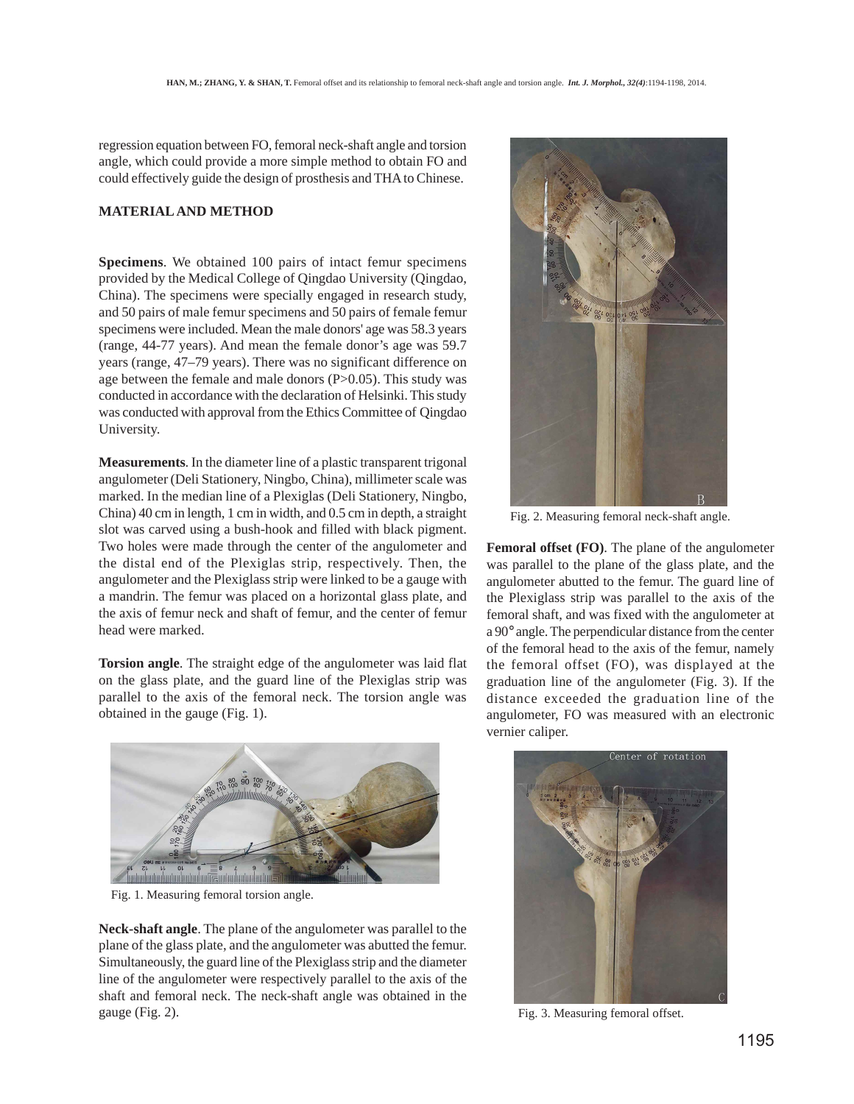regression equation between FO, femoral neck-shaft angle and torsion angle, which could provide a more simple method to obtain FO and could effectively guide the design of prosthesis and THA to Chinese.

## **MATERIAL AND METHOD**

**Specimens**. We obtained 100 pairs of intact femur specimens provided by the Medical College of Qingdao University (Qingdao, China). The specimens were specially engaged in research study, and 50 pairs of male femur specimens and 50 pairs of female femur specimens were included. Mean the male donors' age was 58.3 years (range, 44-77 years). And mean the female donor's age was 59.7 years (range, 47–79 years). There was no significant difference on age between the female and male donors (P>0.05). This study was conducted in accordance with the declaration of Helsinki. This study was conducted with approval from the Ethics Committee of Qingdao University.

**Measurements**. In the diameter line of a plastic transparent trigonal angulometer (Deli Stationery, Ningbo, China), millimeter scale was marked. In the median line of a Plexiglas (Deli Stationery, Ningbo, China) 40 cm in length, 1 cm in width, and 0.5 cm in depth, a straight slot was carved using a bush-hook and filled with black pigment. Two holes were made through the center of the angulometer and the distal end of the Plexiglas strip, respectively. Then, the angulometer and the Plexiglass strip were linked to be a gauge with a mandrin. The femur was placed on a horizontal glass plate, and the axis of femur neck and shaft of femur, and the center of femur head were marked.

**Torsion angle**. The straight edge of the angulometer was laid flat on the glass plate, and the guard line of the Plexiglas strip was parallel to the axis of the femoral neck. The torsion angle was obtained in the gauge (Fig. 1).



Fig. 1. Measuring femoral torsion angle.

**Neck-shaft angle**. The plane of the angulometer was parallel to the plane of the glass plate, and the angulometer was abutted the femur. Simultaneously, the guard line of the Plexiglass strip and the diameter line of the angulometer were respectively parallel to the axis of the shaft and femoral neck. The neck-shaft angle was obtained in the gauge (Fig. 2).



Fig. 2. Measuring femoral neck-shaft angle.

**Femoral offset (FO)**. The plane of the angulometer was parallel to the plane of the glass plate, and the angulometer abutted to the femur. The guard line of the Plexiglass strip was parallel to the axis of the femoral shaft, and was fixed with the angulometer at a 90° angle. The perpendicular distance from the center of the femoral head to the axis of the femur, namely the femoral offset (FO), was displayed at the graduation line of the angulometer (Fig. 3). If the distance exceeded the graduation line of the angulometer, FO was measured with an electronic vernier caliper.



Fig. 3. Measuring femoral offset.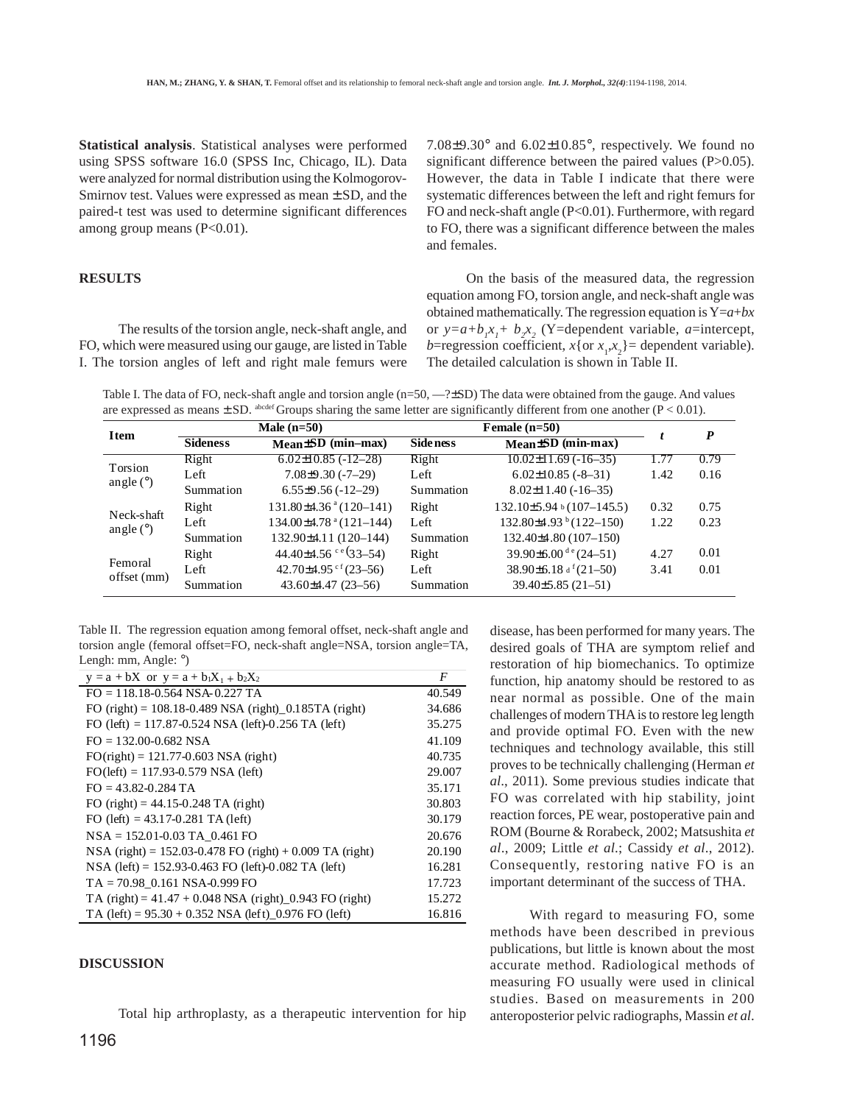**Statistical analysis**. Statistical analyses were performed using SPSS software 16.0 (SPSS Inc, Chicago, IL). Data were analyzed for normal distribution using the Kolmogorov-Smirnov test. Values were expressed as mean  $\pm$  SD, and the paired-t test was used to determine significant differences among group means  $(P<0.01)$ .

#### **RESULTS**

The results of the torsion angle, neck-shaft angle, and FO, which were measured using our gauge, are listed in Table I. The torsion angles of left and right male femurs were 7.08±9.30° and 6.02±10.85°, respectively. We found no significant difference between the paired values (P>0.05). However, the data in Table I indicate that there were systematic differences between the left and right femurs for FO and neck-shaft angle (P<0.01). Furthermore, with regard to FO, there was a significant difference between the males and females.

On the basis of the measured data, the regression equation among FO, torsion angle, and neck-shaft angle was obtained mathematically. The regression equation is Y=*a*+*bx* or  $y=a+b_1x_1+b_2x_2$  (Y=dependent variable, *a*=intercept, *b*=regression coefficient, *x*{ or *x*<sub>1</sub>,*x*<sub>2</sub>}= dependent variable). The detailed calculation is shown in Table II.

Table I. The data of FO, neck-shaft angle and torsion angle (n=50, -2±SD) The data were obtained from the gauge. And values are expressed as means  $\pm$  SD. abodef Groups sharing the same letter are significantly different from one another ( $P < 0.01$ ).

| <b>Item</b>               | Male $(n=50)$   |                                          | Female $(n=50)$ |                                          |      | P    |
|---------------------------|-----------------|------------------------------------------|-----------------|------------------------------------------|------|------|
|                           | <b>Sideness</b> | Mean±SD (min-max)                        | <b>Sideness</b> | $Mean \pm SD$ (min-max)                  |      |      |
| Torsion<br>angle $(°)$    | Right           | $6.02\pm10.85$ ( $-12-28$ )              | Right           | $10.02\pm11.69$ ( $-16-35$ )             | 1.77 | 0.79 |
|                           | Left            | $7.08\pm9.30$ (-7-29)                    | Left            | $6.02\pm10.85$ (-8-31)                   | 1.42 | 0.16 |
|                           | Summation       | $6.55\pm9.56(-12-29)$                    | Summation       | $8.02\pm11.40$ (-16-35)                  |      |      |
| Neck-shaft<br>angle $(°)$ | Right           | $131.80\pm4.36$ <sup>a</sup> $(120-141)$ | Right           | $132.10\pm5.94$ b (107-145.5)            | 0.32 | 0.75 |
|                           | Left            | $134.00\pm4.78$ <sup>a</sup> $(121-144)$ | Left            | $132.80\pm4.93$ <sup>b</sup> $(122-150)$ | 1.22 | 0.23 |
|                           | Summation       | 132.90±4.11 (120-144)                    | Summation       | 132.40±4.80 (107-150)                    |      |      |
| Femoral<br>offset (mm)    | Right           | 44.40±4.56 $\degree$ (33–54)             | Right           | $39.90\pm6.00^{\mathrm{de}}(24-51)$      | 4.27 | 0.01 |
|                           | Left            | 42.70±4.95 $c$ <sup>f</sup> (23-56)      | Left            | 38.90 $\pm$ 6.18 d <sup>f</sup> (21-50)  | 3.41 | 0.01 |
|                           | Summation       | $43.60\pm4.47(23-56)$                    | Summation       | $39.40\pm5.85(21-51)$                    |      |      |

Table II. The regression equation among femoral offset, neck-shaft angle and torsion angle (femoral offset=FO, neck-shaft angle=NSA, torsion angle=TA, Lengh: mm, Angle:  $\degree$ )

| $y = a + bX$ or $y = a + b_1X_1 + b_2X_2$                     | F      |
|---------------------------------------------------------------|--------|
| $FO = 118.18 - 0.564$ NSA-0.227 TA                            | 40.549 |
| FO (right) = $108.18 - 0.489$ NSA (right) $-0.185TA$ (right)  | 34.686 |
| FO (left) = $117.87 - 0.524$ NSA (left) $-0.256$ TA (left)    | 35.275 |
| $FO = 132.00 - 0.682$ NSA                                     | 41.109 |
| $FO$ (right) = 121.77-0.603 NSA (right)                       | 40.735 |
| $FO(left) = 117.93 - 0.579$ NSA (left)                        | 29.007 |
| $FO = 43.82 - 0.284$ TA                                       | 35.171 |
| FO $(right) = 44.15 - 0.248$ TA $(right)$                     | 30.803 |
| FO (left) = $43.17 - 0.281$ TA (left)                         | 30.179 |
| $NSA = 152.01 - 0.03$ TA 0.461 FO                             | 20.676 |
| NSA (right) = $152.03 - 0.478$ FO (right) + 0.009 TA (right)  | 20.190 |
| NSA (left) = $152.93 - 0.463$ FO (left) $-0.082$ TA (left)    | 16.281 |
| $TA = 70.98$ 0.161 NSA-0.999 FO                               | 17.723 |
| TA $(right) = 41.47 + 0.048$ NSA $(right)$ 0.943 FO $(right)$ | 15.272 |
| TA (left) = $95.30 + 0.352$ NSA (left) 0.976 FO (left)        | 16.816 |

#### **DISCUSSION**

Total hip arthroplasty, as a therapeutic intervention for hip

disease, has been performed for many years. The desired goals of THA are symptom relief and restoration of hip biomechanics. To optimize function, hip anatomy should be restored to as near normal as possible. One of the main challenges of modern THA is to restore leg length and provide optimal FO. Even with the new techniques and technology available, this still proves to be technically challenging (Herman *et al*., 2011). Some previous studies indicate that FO was correlated with hip stability, joint reaction forces, PE wear, postoperative pain and ROM (Bourne & Rorabeck, 2002; Matsushita *et al*., 2009; Little *et al*.; Cassidy *et al*., 2012). Consequently, restoring native FO is an important determinant of the success of THA.

With regard to measuring FO, some methods have been described in previous publications, but little is known about the most accurate method. Radiological methods of measuring FO usually were used in clinical studies. Based on measurements in 200 anteroposterior pelvic radiographs, Massin *et al*.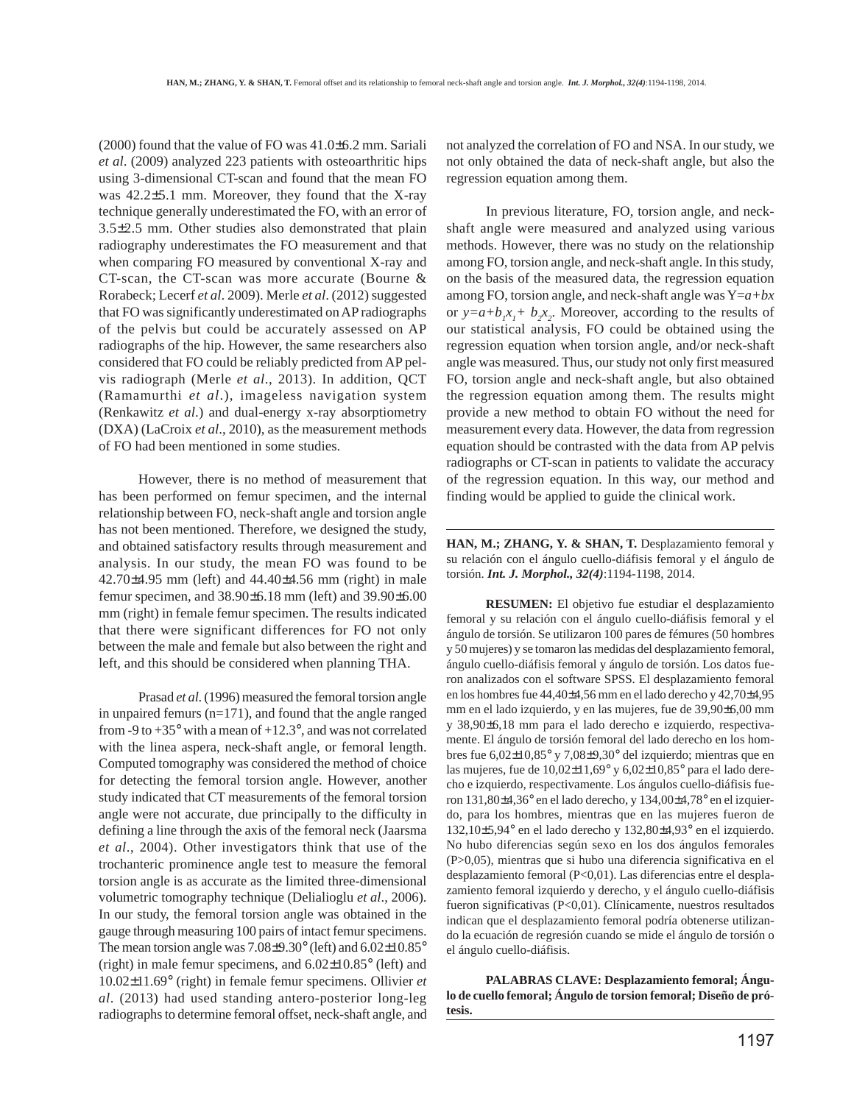(2000) found that the value of FO was 41.0±6.2 mm. Sariali *et al*. (2009) analyzed 223 patients with osteoarthritic hips using 3-dimensional CT-scan and found that the mean FO was 42.2±5.1 mm. Moreover, they found that the X-ray technique generally underestimated the FO, with an error of 3.5±2.5 mm. Other studies also demonstrated that plain radiography underestimates the FO measurement and that when comparing FO measured by conventional X-ray and CT-scan, the CT-scan was more accurate (Bourne & Rorabeck; Lecerf *et al*. 2009). Merle *et al*. (2012) suggested that FO was significantly underestimated on AP radiographs of the pelvis but could be accurately assessed on AP radiographs of the hip. However, the same researchers also considered that FO could be reliably predicted from AP pelvis radiograph (Merle *et al*., 2013). In addition, QCT (Ramamurthi *et al*.), imageless navigation system (Renkawitz *et al*.) and dual-energy x-ray absorptiometry (DXA) (LaCroix *et al*., 2010), as the measurement methods of FO had been mentioned in some studies.

However, there is no method of measurement that has been performed on femur specimen, and the internal relationship between FO, neck-shaft angle and torsion angle has not been mentioned. Therefore, we designed the study, and obtained satisfactory results through measurement and analysis. In our study, the mean FO was found to be 42.70±4.95 mm (left) and 44.40±4.56 mm (right) in male femur specimen, and 38.90±6.18 mm (left) and 39.90±6.00 mm (right) in female femur specimen. The results indicated that there were significant differences for FO not only between the male and female but also between the right and left, and this should be considered when planning THA.

Prasad *et al*. (1996) measured the femoral torsion angle in unpaired femurs (n=171), and found that the angle ranged from -9 to  $+35^{\circ}$  with a mean of  $+12.3^{\circ}$ , and was not correlated with the linea aspera, neck-shaft angle, or femoral length. Computed tomography was considered the method of choice for detecting the femoral torsion angle. However, another study indicated that CT measurements of the femoral torsion angle were not accurate, due principally to the difficulty in defining a line through the axis of the femoral neck (Jaarsma *et al*., 2004). Other investigators think that use of the trochanteric prominence angle test to measure the femoral torsion angle is as accurate as the limited three-dimensional volumetric tomography technique (Delialioglu *et al*., 2006). In our study, the femoral torsion angle was obtained in the gauge through measuring 100 pairs of intact femur specimens. The mean torsion angle was  $7.08\pm9.30^{\circ}$  (left) and  $6.02\pm10.85^{\circ}$ (right) in male femur specimens, and 6.02±10.85° (left) and 10.02±11.69° (right) in female femur specimens. Ollivier *et al*. (2013) had used standing antero-posterior long-leg radiographs to determine femoral offset, neck-shaft angle, and

not analyzed the correlation of FO and NSA. In our study, we not only obtained the data of neck-shaft angle, but also the regression equation among them.

In previous literature, FO, torsion angle, and neckshaft angle were measured and analyzed using various methods. However, there was no study on the relationship among FO, torsion angle, and neck-shaft angle. In this study, on the basis of the measured data, the regression equation among FO, torsion angle, and neck-shaft angle was Y=*a+bx* or  $y=a+b_1x_1+b_2x_2$ . Moreover, according to the results of our statistical analysis, FO could be obtained using the regression equation when torsion angle, and/or neck-shaft angle was measured. Thus, our study not only first measured FO, torsion angle and neck-shaft angle, but also obtained the regression equation among them. The results might provide a new method to obtain FO without the need for measurement every data. However, the data from regression equation should be contrasted with the data from AP pelvis radiographs or CT-scan in patients to validate the accuracy of the regression equation. In this way, our method and finding would be applied to guide the clinical work.

**HAN, M.; ZHANG, Y. & SHAN, T.** Desplazamiento femoral y su relación con el ángulo cuello-diáfisis femoral y el ángulo de torsión. *Int. J. Morphol., 32(4)*:1194-1198, 2014.

**RESUMEN:** El objetivo fue estudiar el desplazamiento femoral y su relación con el ángulo cuello-diáfisis femoral y el ángulo de torsión. Se utilizaron 100 pares de fémures (50 hombres y 50 mujeres) y se tomaron las medidas del desplazamiento femoral, ángulo cuello-diáfisis femoral y ángulo de torsión. Los datos fueron analizados con el software SPSS. El desplazamiento femoral en los hombres fue 44,40±4,56 mm en el lado derecho y 42,70±4,95 mm en el lado izquierdo, y en las mujeres, fue de 39,90±6,00 mm y 38,90±6,18 mm para el lado derecho e izquierdo, respectivamente. El ángulo de torsión femoral del lado derecho en los hombres fue 6,02±10,85° y 7,08±9,30° del izquierdo; mientras que en las mujeres, fue de 10,02±11,69° y 6,02±10,85° para el lado derecho e izquierdo, respectivamente. Los ángulos cuello-diáfisis fueron 131,80±4,36° en el lado derecho, y 134,00±4,78° en el izquierdo, para los hombres, mientras que en las mujeres fueron de 132,10±5,94° en el lado derecho y 132,80±4,93° en el izquierdo. No hubo diferencias según sexo en los dos ángulos femorales (P>0,05), mientras que si hubo una diferencia significativa en el desplazamiento femoral (P<0,01). Las diferencias entre el desplazamiento femoral izquierdo y derecho, y el ángulo cuello-diáfisis fueron significativas (P<0,01). Clínicamente, nuestros resultados indican que el desplazamiento femoral podría obtenerse utilizando la ecuación de regresión cuando se mide el ángulo de torsión o el ángulo cuello-diáfisis.

**PALABRAS CLAVE: Desplazamiento femoral; Ángulo de cuello femoral; Ángulo de torsion femoral; Diseño de prótesis.**